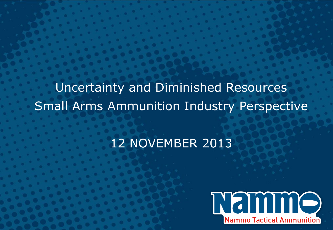Uncertainty and Diminished Resources Small Arms Ammunition Industry Perspective

## 12 NOVEMBER 2013

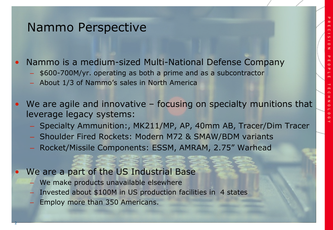#### Nammo Perspective

• Nammo is a medium-sized Multi-National Defense Company

- \$600-700M/yr. operating as both a prime and as a subcontractor
- About 1/3 of Nammo's sales in North America
- We are agile and innovative focusing on specialty munitions that leverage legacy systems:
	- Specialty Ammunition:, MK211/MP, AP, 40mm AB, Tracer/Dim Tracer
	- Shoulder Fired Rockets: Modern M72 & SMAW/BDM variants
	- Rocket/Missile Components: ESSM, AMRAM, 2.75" Warhead
- We are a part of the US Industrial Base
	- We make products unavailable elsewhere
	- Invested about \$100M in US production facilities in 4 states
	- Employ more than 350 Americans.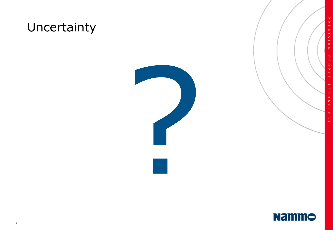## Uncertainty



**PRECISION** 

PEOPLE

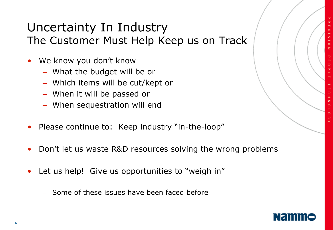#### Uncertainty In Industry The Customer Must Help Keep us on Track

- We know you don't know
	- What the budget will be or
	- Which items will be cut/kept or
	- When it will be passed or
	- When sequestration will end
- Please continue to: Keep industry "in-the-loop"
- Don't let us waste R&D resources solving the wrong problems
- Let us help! Give us opportunities to "weigh in"
	- Some of these issues have been faced before

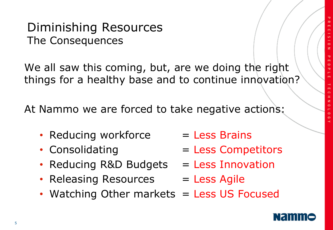$\circ$  $\circ$  $\ddot{\circ}$ 

#### Diminishing Resources The Consequences

We all saw this coming, but, are we doing the right things for a healthy base and to continue innovation?

At Nammo we are forced to take negative actions:

- Reducing workforce  $=$  Less Brains
- 
- Reducing R&D Budgets  $=$  Less Innovation
- Releasing Resources = Less Agile
- Watching Other markets = Less US Focused



- Consolidating  $\blacksquare$  Less Competitors
	-
	-

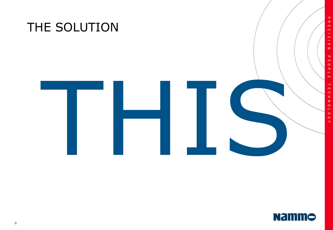



**PRECISION** 

**PEOPLE**